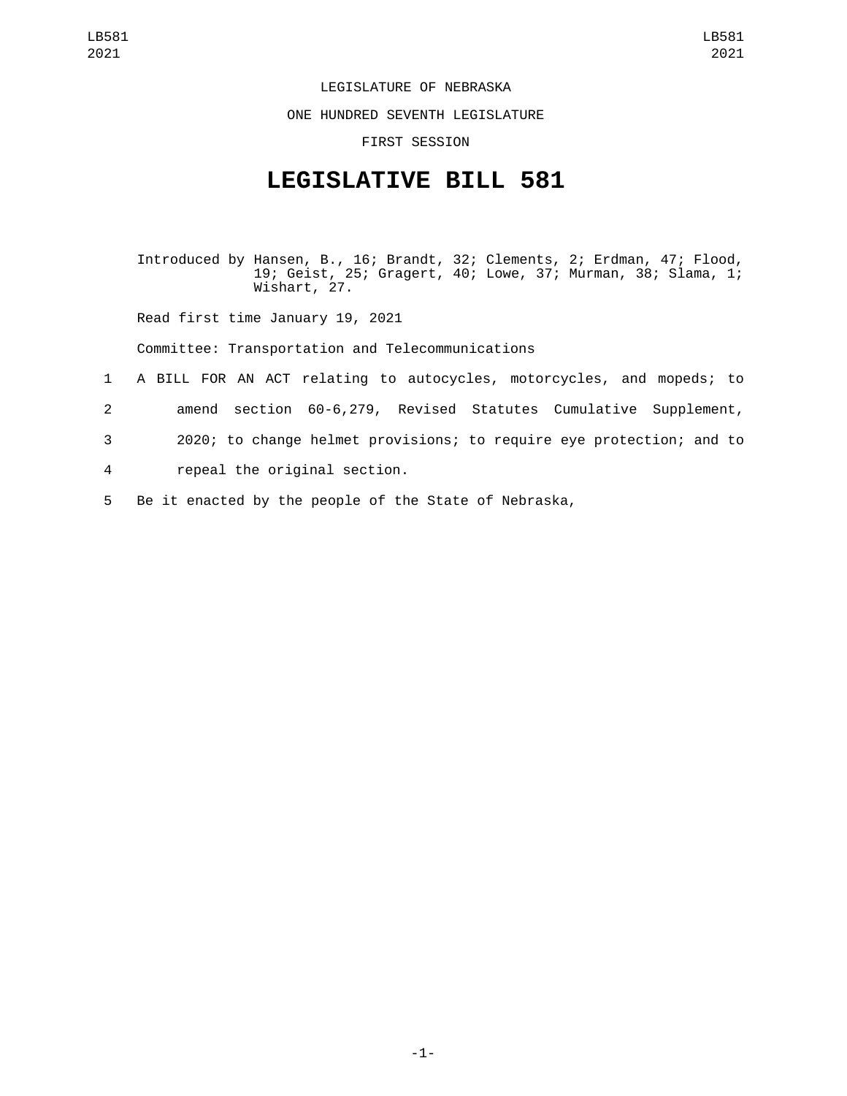## LEGISLATURE OF NEBRASKA

ONE HUNDRED SEVENTH LEGISLATURE

FIRST SESSION

## **LEGISLATIVE BILL 581**

Introduced by Hansen, B., 16; Brandt, 32; Clements, 2; Erdman, 47; Flood, 19; Geist, 25; Gragert, 40; Lowe, 37; Murman, 38; Slama, 1; Wishart, 27.

Read first time January 19, 2021

Committee: Transportation and Telecommunications

- 1 A BILL FOR AN ACT relating to autocycles, motorcycles, and mopeds; to
- 2 amend section 60-6,279, Revised Statutes Cumulative Supplement,
- 3 2020; to change helmet provisions; to require eye protection; and to
- repeal the original section.4
- 5 Be it enacted by the people of the State of Nebraska,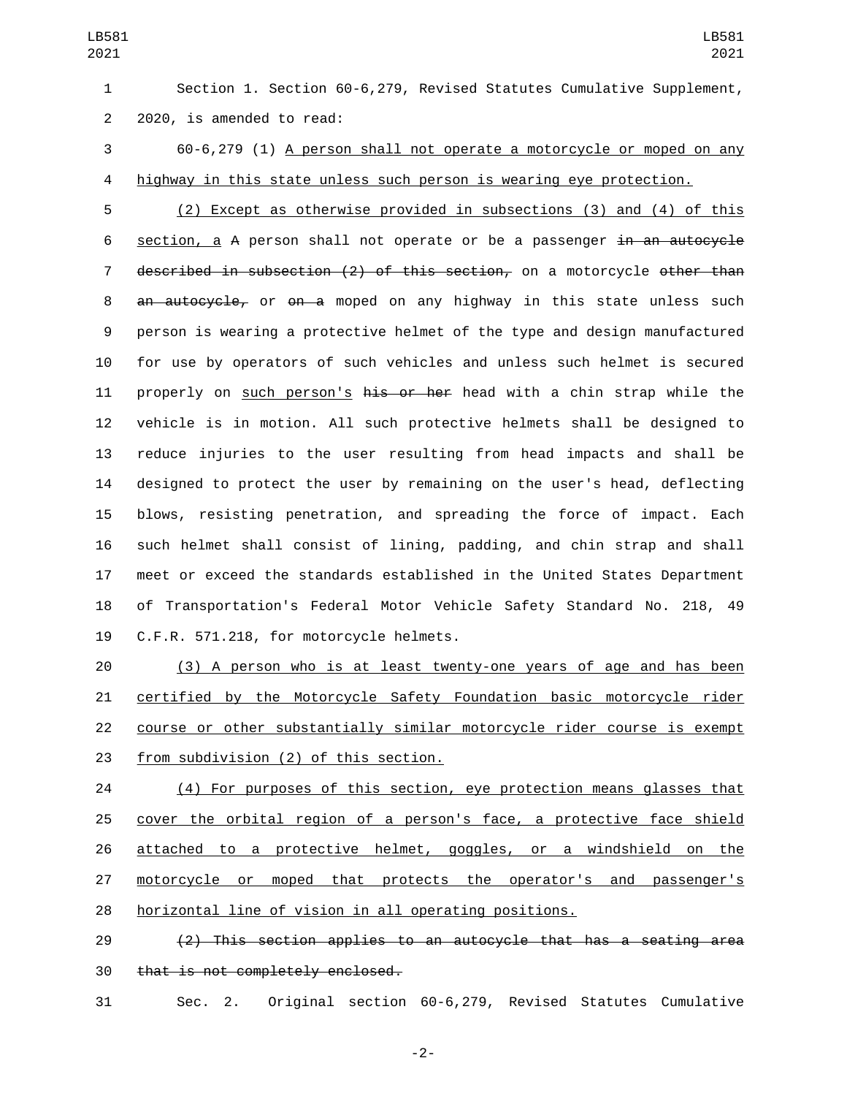Section 1. Section 60-6,279, Revised Statutes Cumulative Supplement, 2 2020, is amended to read:

 60-6,279 (1) A person shall not operate a motorcycle or moped on any highway in this state unless such person is wearing eye protection.

 (2) Except as otherwise provided in subsections (3) and (4) of this 6 section, a A person shall not operate or be a passenger in an autocycle 7 described in subsection (2) of this section, on a motorcycle other than 8 an autocycle, or on a moped on any highway in this state unless such person is wearing a protective helmet of the type and design manufactured for use by operators of such vehicles and unless such helmet is secured 11 properly on such person's his or her head with a chin strap while the vehicle is in motion. All such protective helmets shall be designed to reduce injuries to the user resulting from head impacts and shall be designed to protect the user by remaining on the user's head, deflecting blows, resisting penetration, and spreading the force of impact. Each such helmet shall consist of lining, padding, and chin strap and shall meet or exceed the standards established in the United States Department of Transportation's Federal Motor Vehicle Safety Standard No. 218, 49 19 C.F.R. 571.218, for motorcycle helmets.

 (3) A person who is at least twenty-one years of age and has been certified by the Motorcycle Safety Foundation basic motorcycle rider course or other substantially similar motorcycle rider course is exempt 23 from subdivision (2) of this section.

24 (4) For purposes of this section, eye protection means glasses that cover the orbital region of a person's face, a protective face shield attached to a protective helmet, goggles, or a windshield on the motorcycle or moped that protects the operator's and passenger's horizontal line of vision in all operating positions.

 (2) This section applies to an autocycle that has a seating area 30 that is not completely enclosed.

Sec. 2. Original section 60-6,279, Revised Statutes Cumulative

-2-